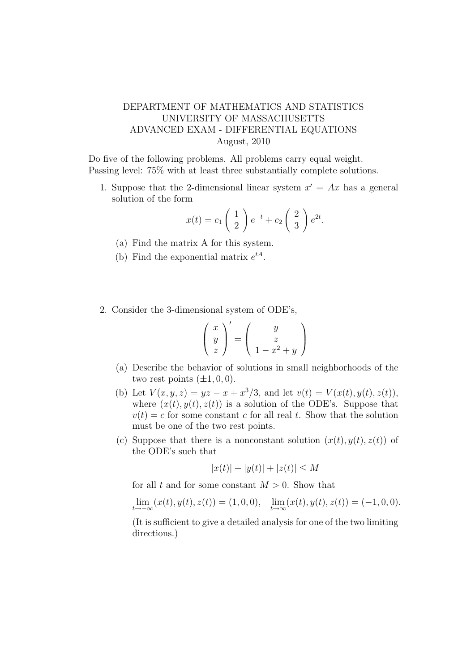## DEPARTMENT OF MATHEMATICS AND STATISTICS UNIVERSITY OF MASSACHUSETTS ADVANCED EXAM - DIFFERENTIAL EQUATIONS August, 2010

Do five of the following problems. All problems carry equal weight. Passing level: 75% with at least three substantially complete solutions.

1. Suppose that the 2-dimensional linear system  $x' = Ax$  has a general solution of the form

$$
x(t) = c_1 \begin{pmatrix} 1 \\ 2 \end{pmatrix} e^{-t} + c_2 \begin{pmatrix} 2 \\ 3 \end{pmatrix} e^{2t}.
$$

- (a) Find the matrix A for this system.
- (b) Find the exponential matrix  $e^{tA}$ .
- 2. Consider the 3-dimensional system of ODE's,

$$
\left(\begin{array}{c} x \\ y \\ z \end{array}\right)' = \left(\begin{array}{c} y \\ z \\ 1 - x^2 + y \end{array}\right)
$$

- (a) Describe the behavior of solutions in small neighborhoods of the two rest points  $(\pm 1, 0, 0)$ .
- (b) Let  $V(x, y, z) = yz x + x^3/3$ , and let  $v(t) = V(x(t), y(t), z(t))$ , where  $(x(t), y(t), z(t))$  is a solution of the ODE's. Suppose that  $v(t) = c$  for some constant c for all real t. Show that the solution must be one of the two rest points.
- (c) Suppose that there is a nonconstant solution  $(x(t), y(t), z(t))$  of the ODE's such that

$$
|x(t)| + |y(t)| + |z(t)| \le M
$$

for all t and for some constant  $M > 0$ . Show that

 $\lim_{t \to -\infty} (x(t), y(t), z(t)) = (1, 0, 0), \quad \lim_{t \to \infty} (x(t), y(t), z(t)) = (-1, 0, 0).$ 

(It is sufficient to give a detailed analysis for one of the two limiting directions.)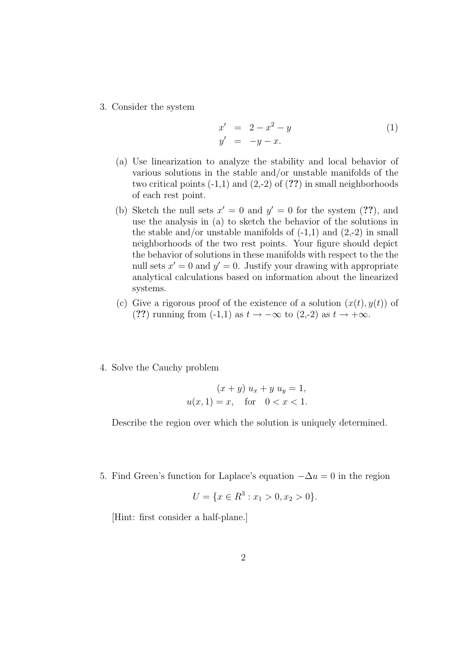3. Consider the system

$$
x' = 2 - x^2 - y \n y' = -y - x.
$$
\n(1)

- (a) Use linearization to analyze the stability and local behavior of various solutions in the stable and/or unstable manifolds of the two critical points  $(-1,1)$  and  $(2,-2)$  of  $(?)$  in small neighborhoods of each rest point.
- (b) Sketch the null sets  $x' = 0$  and  $y' = 0$  for the system (??), and use the analysis in (a) to sketch the behavior of the solutions in the stable and/or unstable manifolds of  $(-1,1)$  and  $(2,-2)$  in small neighborhoods of the two rest points. Your figure should depict the behavior of solutions in these manifolds with respect to the the null sets  $x' = 0$  and  $y' = 0$ . Justify your drawing with appropriate analytical calculations based on information about the linearized systems.
- (c) Give a rigorous proof of the existence of a solution  $(x(t), y(t))$  of (??) running from  $(-1,1)$  as  $t \to -\infty$  to  $(2,-2)$  as  $t \to +\infty$ .
- 4. Solve the Cauchy problem

$$
(x + y) u_x + y u_y = 1,
$$
  
 $u(x, 1) = x$ , for  $0 < x < 1$ .

Describe the region over which the solution is uniquely determined.

5. Find Green's function for Laplace's equation  $-\Delta u = 0$  in the region

$$
U = \{x \in \mathbb{R}^3 : x_1 > 0, x_2 > 0\}.
$$

[Hint: first consider a half-plane.]